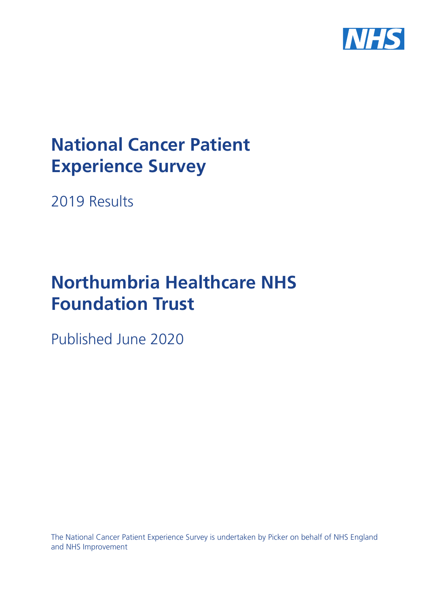

# **National Cancer Patient Experience Survey**

2019 Results

# **Northumbria Healthcare NHS Foundation Trust**

Published June 2020

The National Cancer Patient Experience Survey is undertaken by Picker on behalf of NHS England and NHS Improvement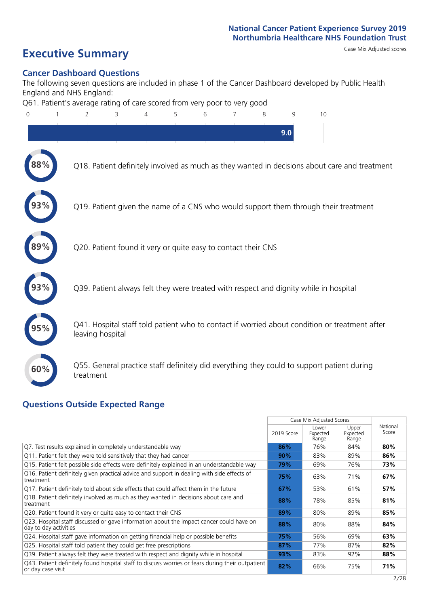# **Executive Summary** Case Mix Adjusted scores

### **Cancer Dashboard Questions**

The following seven questions are included in phase 1 of the Cancer Dashboard developed by Public Health England and NHS England:

Q61. Patient's average rating of care scored from very poor to very good



### **Questions Outside Expected Range**

|                                                                                                                       |            | Case Mix Adjusted Scores   |                            |                   |
|-----------------------------------------------------------------------------------------------------------------------|------------|----------------------------|----------------------------|-------------------|
|                                                                                                                       | 2019 Score | Lower<br>Expected<br>Range | Upper<br>Expected<br>Range | National<br>Score |
| Q7. Test results explained in completely understandable way                                                           | 86%        | 76%                        | 84%                        | 80%               |
| Q11. Patient felt they were told sensitively that they had cancer                                                     | 90%        | 83%                        | 89%                        | 86%               |
| Q15. Patient felt possible side effects were definitely explained in an understandable way                            | 79%        | 69%                        | 76%                        | 73%               |
| Q16. Patient definitely given practical advice and support in dealing with side effects of<br>treatment               | 75%        | 63%                        | 71%                        | 67%               |
| Q17. Patient definitely told about side effects that could affect them in the future                                  | 67%        | 53%                        | 61%                        | 57%               |
| Q18. Patient definitely involved as much as they wanted in decisions about care and<br>treatment                      | 88%        | 78%                        | 85%                        | 81%               |
| Q20. Patient found it very or quite easy to contact their CNS                                                         | 89%        | 80%                        | 89%                        | 85%               |
| Q23. Hospital staff discussed or gave information about the impact cancer could have on<br>day to day activities      | 88%        | 80%                        | 88%                        | 84%               |
| Q24. Hospital staff gave information on getting financial help or possible benefits                                   | 75%        | 56%                        | 69%                        | 63%               |
| Q25. Hospital staff told patient they could get free prescriptions                                                    | 87%        | 77%                        | 87%                        | 82%               |
| Q39. Patient always felt they were treated with respect and dignity while in hospital                                 | 93%        | 83%                        | 92%                        | 88%               |
| Q43. Patient definitely found hospital staff to discuss worries or fears during their outpatient<br>or day case visit | 82%        | 66%                        | 75%                        | 71%               |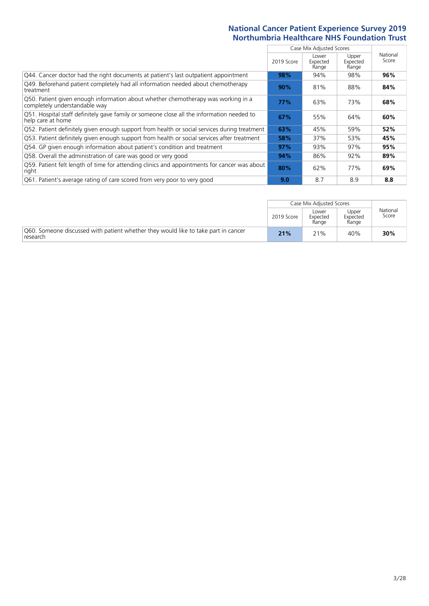|                                                                                                                    |            | Case Mix Adjusted Scores   |                            |                   |
|--------------------------------------------------------------------------------------------------------------------|------------|----------------------------|----------------------------|-------------------|
|                                                                                                                    | 2019 Score | Lower<br>Expected<br>Range | Upper<br>Expected<br>Range | National<br>Score |
| Q44. Cancer doctor had the right documents at patient's last outpatient appointment                                | 98%        | 94%                        | 98%                        | 96%               |
| Q49. Beforehand patient completely had all information needed about chemotherapy<br>treatment                      | 90%        | 81%                        | 88%                        | 84%               |
| Q50. Patient given enough information about whether chemotherapy was working in a<br>completely understandable way | 77%        | 63%                        | 73%                        | 68%               |
| Q51. Hospital staff definitely gave family or someone close all the information needed to<br>help care at home     | 67%        | 55%                        | 64%                        | 60%               |
| Q52. Patient definitely given enough support from health or social services during treatment                       | 63%        | 45%                        | 59%                        | 52%               |
| Q53. Patient definitely given enough support from health or social services after treatment                        | <b>58%</b> | 37%                        | 53%                        | 45%               |
| Q54. GP given enough information about patient's condition and treatment                                           | 97%        | 93%                        | 97%                        | 95%               |
| Q58. Overall the administration of care was good or very good                                                      | 94%        | 86%                        | 92%                        | 89%               |
| Q59. Patient felt length of time for attending clinics and appointments for cancer was about<br>right              | 80%        | 62%                        | 77%                        | 69%               |
| Q61. Patient's average rating of care scored from very poor to very good                                           | 9.0        | 8.7                        | 8.9                        | 8.8               |

|                                                                                                |            | Case Mix Adjusted Scores   |                            |                   |
|------------------------------------------------------------------------------------------------|------------|----------------------------|----------------------------|-------------------|
|                                                                                                | 2019 Score | Lower<br>Expected<br>Range | Upper<br>Expected<br>Range | National<br>Score |
| Q60. Someone discussed with patient whether they would like to take part in cancer<br>research | 21%        | 21%                        | 40%                        | 30%               |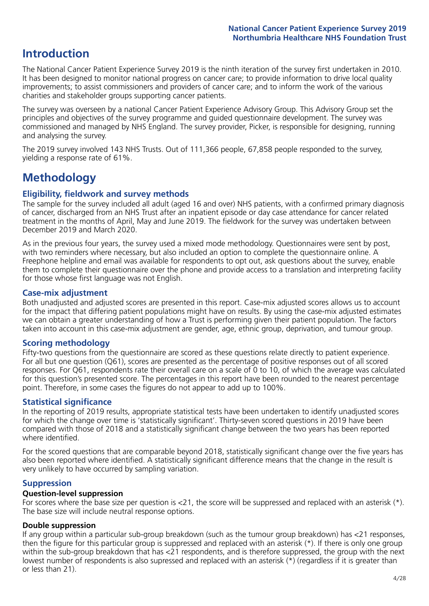## **Introduction**

The National Cancer Patient Experience Survey 2019 is the ninth iteration of the survey first undertaken in 2010. It has been designed to monitor national progress on cancer care; to provide information to drive local quality improvements; to assist commissioners and providers of cancer care; and to inform the work of the various charities and stakeholder groups supporting cancer patients.

The survey was overseen by a national Cancer Patient Experience Advisory Group. This Advisory Group set the principles and objectives of the survey programme and guided questionnaire development. The survey was commissioned and managed by NHS England. The survey provider, Picker, is responsible for designing, running and analysing the survey.

The 2019 survey involved 143 NHS Trusts. Out of 111,366 people, 67,858 people responded to the survey, yielding a response rate of 61%.

# **Methodology**

### **Eligibility, eldwork and survey methods**

The sample for the survey included all adult (aged 16 and over) NHS patients, with a confirmed primary diagnosis of cancer, discharged from an NHS Trust after an inpatient episode or day case attendance for cancer related treatment in the months of April, May and June 2019. The fieldwork for the survey was undertaken between December 2019 and March 2020.

As in the previous four years, the survey used a mixed mode methodology. Questionnaires were sent by post, with two reminders where necessary, but also included an option to complete the questionnaire online. A Freephone helpline and email was available for respondents to opt out, ask questions about the survey, enable them to complete their questionnaire over the phone and provide access to a translation and interpreting facility for those whose first language was not English.

### **Case-mix adjustment**

Both unadjusted and adjusted scores are presented in this report. Case-mix adjusted scores allows us to account for the impact that differing patient populations might have on results. By using the case-mix adjusted estimates we can obtain a greater understanding of how a Trust is performing given their patient population. The factors taken into account in this case-mix adjustment are gender, age, ethnic group, deprivation, and tumour group.

### **Scoring methodology**

Fifty-two questions from the questionnaire are scored as these questions relate directly to patient experience. For all but one question (Q61), scores are presented as the percentage of positive responses out of all scored responses. For Q61, respondents rate their overall care on a scale of 0 to 10, of which the average was calculated for this question's presented score. The percentages in this report have been rounded to the nearest percentage point. Therefore, in some cases the figures do not appear to add up to 100%.

### **Statistical significance**

In the reporting of 2019 results, appropriate statistical tests have been undertaken to identify unadjusted scores for which the change over time is 'statistically significant'. Thirty-seven scored questions in 2019 have been compared with those of 2018 and a statistically significant change between the two years has been reported where identified.

For the scored questions that are comparable beyond 2018, statistically significant change over the five years has also been reported where identified. A statistically significant difference means that the change in the result is very unlikely to have occurred by sampling variation.

### **Suppression**

### **Question-level suppression**

For scores where the base size per question is  $<$ 21, the score will be suppressed and replaced with an asterisk (\*). The base size will include neutral response options.

### **Double suppression**

If any group within a particular sub-group breakdown (such as the tumour group breakdown) has <21 responses, then the figure for this particular group is suppressed and replaced with an asterisk (\*). If there is only one group within the sub-group breakdown that has <21 respondents, and is therefore suppressed, the group with the next lowest number of respondents is also supressed and replaced with an asterisk (\*) (regardless if it is greater than or less than 21).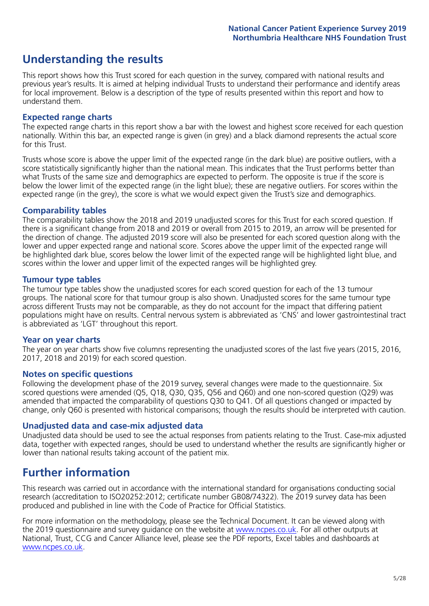## **Understanding the results**

This report shows how this Trust scored for each question in the survey, compared with national results and previous year's results. It is aimed at helping individual Trusts to understand their performance and identify areas for local improvement. Below is a description of the type of results presented within this report and how to understand them.

### **Expected range charts**

The expected range charts in this report show a bar with the lowest and highest score received for each question nationally. Within this bar, an expected range is given (in grey) and a black diamond represents the actual score for this Trust.

Trusts whose score is above the upper limit of the expected range (in the dark blue) are positive outliers, with a score statistically significantly higher than the national mean. This indicates that the Trust performs better than what Trusts of the same size and demographics are expected to perform. The opposite is true if the score is below the lower limit of the expected range (in the light blue); these are negative outliers. For scores within the expected range (in the grey), the score is what we would expect given the Trust's size and demographics.

### **Comparability tables**

The comparability tables show the 2018 and 2019 unadjusted scores for this Trust for each scored question. If there is a significant change from 2018 and 2019 or overall from 2015 to 2019, an arrow will be presented for the direction of change. The adjusted 2019 score will also be presented for each scored question along with the lower and upper expected range and national score. Scores above the upper limit of the expected range will be highlighted dark blue, scores below the lower limit of the expected range will be highlighted light blue, and scores within the lower and upper limit of the expected ranges will be highlighted grey.

### **Tumour type tables**

The tumour type tables show the unadjusted scores for each scored question for each of the 13 tumour groups. The national score for that tumour group is also shown. Unadjusted scores for the same tumour type across different Trusts may not be comparable, as they do not account for the impact that differing patient populations might have on results. Central nervous system is abbreviated as 'CNS' and lower gastrointestinal tract is abbreviated as 'LGT' throughout this report.

### **Year on year charts**

The year on year charts show five columns representing the unadjusted scores of the last five years (2015, 2016, 2017, 2018 and 2019) for each scored question.

### **Notes on specific questions**

Following the development phase of the 2019 survey, several changes were made to the questionnaire. Six scored questions were amended (Q5, Q18, Q30, Q35, Q56 and Q60) and one non-scored question (Q29) was amended that impacted the comparability of questions Q30 to Q41. Of all questions changed or impacted by change, only Q60 is presented with historical comparisons; though the results should be interpreted with caution.

### **Unadjusted data and case-mix adjusted data**

Unadjusted data should be used to see the actual responses from patients relating to the Trust. Case-mix adjusted data, together with expected ranges, should be used to understand whether the results are significantly higher or lower than national results taking account of the patient mix.

### **Further information**

This research was carried out in accordance with the international standard for organisations conducting social research (accreditation to ISO20252:2012; certificate number GB08/74322). The 2019 survey data has been produced and published in line with the Code of Practice for Official Statistics.

For more information on the methodology, please see the Technical Document. It can be viewed along with the 2019 questionnaire and survey quidance on the website at [www.ncpes.co.uk](https://www.ncpes.co.uk/supporting-documents). For all other outputs at National, Trust, CCG and Cancer Alliance level, please see the PDF reports, Excel tables and dashboards at [www.ncpes.co.uk.](https://www.ncpes.co.uk/current-results)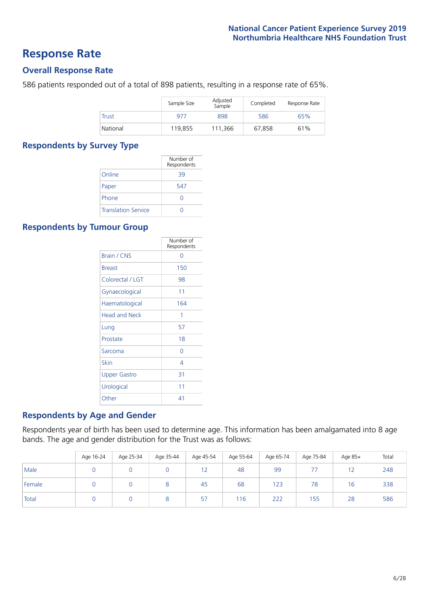### **Response Rate**

### **Overall Response Rate**

586 patients responded out of a total of 898 patients, resulting in a response rate of 65%.

|          | Sample Size | Adjusted<br>Sample | Completed | Response Rate |
|----------|-------------|--------------------|-----------|---------------|
| Trust    | 977         | 898                | 586       | 65%           |
| National | 119,855     | 111.366            | 67.858    | 61%           |

### **Respondents by Survey Type**

|                            | Number of<br>Respondents |
|----------------------------|--------------------------|
| Online                     | 39                       |
| Paper                      | 547                      |
| Phone                      | $\left( \right)$         |
| <b>Translation Service</b> |                          |

### **Respondents by Tumour Group**

|                      | Number of<br>Respondents |
|----------------------|--------------------------|
| <b>Brain / CNS</b>   | ∩                        |
| <b>Breast</b>        | 150                      |
| Colorectal / LGT     | 98                       |
| Gynaecological       | 11                       |
| Haematological       | 164                      |
| <b>Head and Neck</b> | 1                        |
| Lung                 | 57                       |
| Prostate             | 18                       |
| Sarcoma              | Ω                        |
| Skin                 | 4                        |
| Upper Gastro         | 31                       |
| Urological           | 11                       |
| Other                | 41                       |

### **Respondents by Age and Gender**

Respondents year of birth has been used to determine age. This information has been amalgamated into 8 age bands. The age and gender distribution for the Trust was as follows:

|        | Age 16-24 | Age 25-34 | Age 35-44 | Age 45-54 | Age 55-64 | Age 65-74 | Age 75-84 | Age 85+ | Total |
|--------|-----------|-----------|-----------|-----------|-----------|-----------|-----------|---------|-------|
| Male   |           |           |           | 12        | 48        | 99        |           | 12      | 248   |
| Female |           |           |           | 45        | 68        | 123       | 78        | 16      | 338   |
| Total  |           |           |           | 57        | 116       | 222       | 155       | 28      | 586   |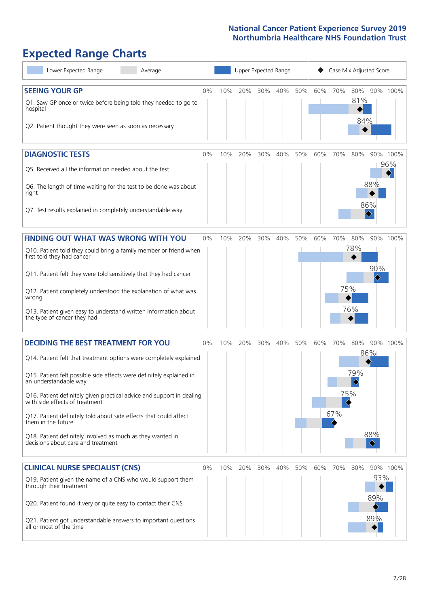# **Expected Range Charts**

| Lower Expected Range<br>Average                                                                                                                                                                                                                                                                                                                                                                                                                                                                                             |    |     | Upper Expected Range |     |     |     |     | Case Mix Adjusted Score |                          |                                            |                 |
|-----------------------------------------------------------------------------------------------------------------------------------------------------------------------------------------------------------------------------------------------------------------------------------------------------------------------------------------------------------------------------------------------------------------------------------------------------------------------------------------------------------------------------|----|-----|----------------------|-----|-----|-----|-----|-------------------------|--------------------------|--------------------------------------------|-----------------|
| <b>SEEING YOUR GP</b><br>Q1. Saw GP once or twice before being told they needed to go to<br>hospital<br>Q2. Patient thought they were seen as soon as necessary                                                                                                                                                                                                                                                                                                                                                             | 0% | 10% | 20%                  | 30% | 40% | 50% | 60% | 70%                     | 80%<br>81%<br>84%        |                                            | 90% 100%        |
| <b>DIAGNOSTIC TESTS</b><br>Q5. Received all the information needed about the test<br>Q6. The length of time waiting for the test to be done was about<br>right<br>Q7. Test results explained in completely understandable way                                                                                                                                                                                                                                                                                               | 0% | 10% | 20%                  | 30% | 40% | 50% | 60% | 70%                     | 80%                      | 88%<br>86%<br>$\color{black} \diamondsuit$ | 90% 100%<br>96% |
| <b>FINDING OUT WHAT WAS WRONG WITH YOU</b><br>Q10. Patient told they could bring a family member or friend when<br>first told they had cancer<br>Q11. Patient felt they were told sensitively that they had cancer<br>Q12. Patient completely understood the explanation of what was<br>wrong<br>Q13. Patient given easy to understand written information about<br>the type of cancer they had                                                                                                                             | 0% | 10% | 20%                  | 30% | 40% | 50% | 60% | 70%                     | 80%<br>78%<br>75%<br>76% | 90%                                        | 90% 100%        |
| <b>DECIDING THE BEST TREATMENT FOR YOU</b><br>Q14. Patient felt that treatment options were completely explained<br>Q15. Patient felt possible side effects were definitely explained in<br>an understandable way<br>Q16. Patient definitely given practical advice and support in dealing<br>with side effects of treatment<br>Q17. Patient definitely told about side effects that could affect<br>them in the future<br>Q18. Patient definitely involved as much as they wanted in<br>decisions about care and treatment | 0% | 10% | 20%                  | 30% | 40% | 50% | 60% | 70%<br>67%              | 80%<br>79%<br>♦<br>75%   | 86%<br>88%<br>♦                            | 90% 100%        |
| <b>CLINICAL NURSE SPECIALIST (CNS)</b><br>Q19. Patient given the name of a CNS who would support them<br>through their treatment<br>Q20. Patient found it very or quite easy to contact their CNS<br>Q21. Patient got understandable answers to important questions<br>all or most of the time                                                                                                                                                                                                                              | 0% | 10% | 20%                  | 30% | 40% | 50% | 60% | 70%                     | 80%                      | 93%<br>89%<br>89%                          | 90% 100%        |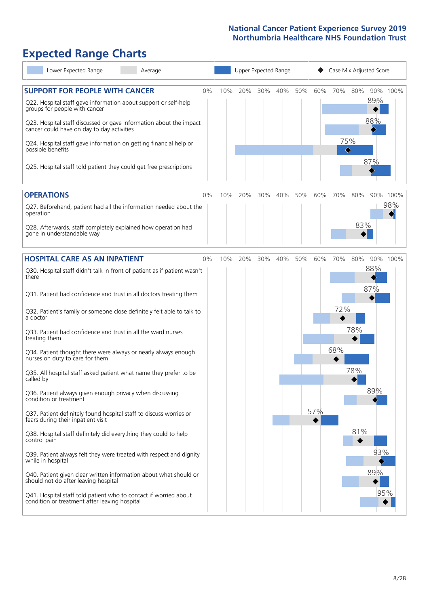# **Expected Range Charts**

| Lower Expected Range<br>Average                                                                                                                                                                                                                                                                                                          | Upper Expected Range |     |     |     |     |     | Case Mix Adjusted Score      |            |            |                 |  |  |  |
|------------------------------------------------------------------------------------------------------------------------------------------------------------------------------------------------------------------------------------------------------------------------------------------------------------------------------------------|----------------------|-----|-----|-----|-----|-----|------------------------------|------------|------------|-----------------|--|--|--|
| <b>SUPPORT FOR PEOPLE WITH CANCER</b><br>0%<br>Q22. Hospital staff gave information about support or self-help<br>groups for people with cancer<br>Q23. Hospital staff discussed or gave information about the impact<br>cancer could have on day to day activities<br>Q24. Hospital staff gave information on getting financial help or | 10%                  | 20% | 30% | 40% | 50% | 60% | 70%<br>75%                   | 80%        | 89%<br>88% | 90% 100%        |  |  |  |
| possible benefits<br>Q25. Hospital staff told patient they could get free prescriptions                                                                                                                                                                                                                                                  |                      |     |     |     |     |     | $\color{black}\blacklozenge$ |            | 87%        |                 |  |  |  |
| <b>OPERATIONS</b><br>0%<br>Q27. Beforehand, patient had all the information needed about the<br>operation                                                                                                                                                                                                                                | 10%                  | 20% | 30% | 40% | 50% | 60% | 70%                          | 80%<br>83% |            | 90% 100%<br>98% |  |  |  |
| Q28. Afterwards, staff completely explained how operation had<br>gone in understandable way                                                                                                                                                                                                                                              |                      |     |     |     |     |     |                              |            |            |                 |  |  |  |
| <b>HOSPITAL CARE AS AN INPATIENT</b><br>0%<br>Q30. Hospital staff didn't talk in front of patient as if patient wasn't<br>there                                                                                                                                                                                                          | 10%                  | 20% | 30% | 40% | 50% | 60% | 70%                          | 80%        | 88%        | 90% 100%        |  |  |  |
| Q31. Patient had confidence and trust in all doctors treating them                                                                                                                                                                                                                                                                       |                      |     |     |     |     |     | 72%                          |            | 87%        |                 |  |  |  |
| Q32. Patient's family or someone close definitely felt able to talk to<br>a doctor<br>Q33. Patient had confidence and trust in all the ward nurses                                                                                                                                                                                       |                      |     |     |     |     |     |                              | 78%        |            |                 |  |  |  |
| treating them<br>Q34. Patient thought there were always or nearly always enough<br>nurses on duty to care for them                                                                                                                                                                                                                       |                      |     |     |     |     |     | 68%                          |            |            |                 |  |  |  |
| Q35. All hospital staff asked patient what name they prefer to be<br>called by                                                                                                                                                                                                                                                           |                      |     |     |     |     |     |                              | 78%        |            |                 |  |  |  |
| Q36. Patient always given enough privacy when discussing<br>condition or treatment                                                                                                                                                                                                                                                       |                      |     |     |     |     |     |                              |            | 89%        |                 |  |  |  |
| Q37. Patient definitely found hospital staff to discuss worries or<br>fears during their inpatient visit                                                                                                                                                                                                                                 |                      |     |     |     |     | 57% |                              | 81%        |            |                 |  |  |  |
| Q38. Hospital staff definitely did everything they could to help<br>control pain<br>Q39. Patient always felt they were treated with respect and dignity                                                                                                                                                                                  |                      |     |     |     |     |     |                              |            | 93%        |                 |  |  |  |
| while in hospital<br>Q40. Patient given clear written information about what should or<br>should not do after leaving hospital                                                                                                                                                                                                           |                      |     |     |     |     |     |                              |            | 89%        |                 |  |  |  |
| Q41. Hospital staff told patient who to contact if worried about<br>condition or treatment after leaving hospital                                                                                                                                                                                                                        |                      |     |     |     |     |     |                              |            | 95%        |                 |  |  |  |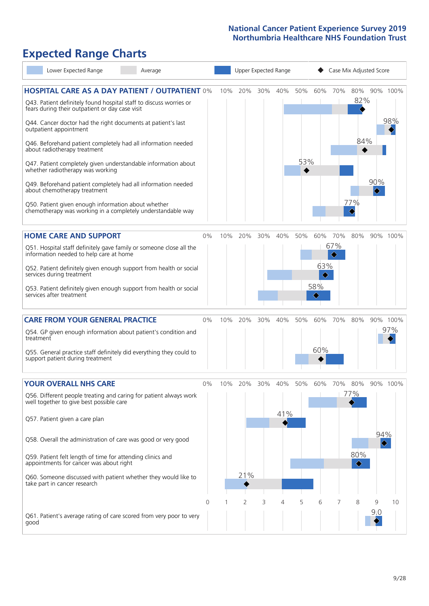# **Expected Range Charts**

| Lower Expected Range<br>Average                                                                                       |          |     | Upper Expected Range |     |     |     |          |     | Case Mix Adjusted Score |                                     |          |
|-----------------------------------------------------------------------------------------------------------------------|----------|-----|----------------------|-----|-----|-----|----------|-----|-------------------------|-------------------------------------|----------|
| <b>HOSPITAL CARE AS A DAY PATIENT / OUTPATIENT 0%</b>                                                                 |          | 10% | 20%                  | 30% | 40% | 50% | 60%      | 70% |                         | 80% 90% 100%                        |          |
| Q43. Patient definitely found hospital staff to discuss worries or<br>fears during their outpatient or day case visit |          |     |                      |     |     |     |          |     | 82%                     |                                     |          |
| Q44. Cancer doctor had the right documents at patient's last<br>outpatient appointment                                |          |     |                      |     |     |     |          |     |                         |                                     | 98%      |
| Q46. Beforehand patient completely had all information needed<br>about radiotherapy treatment                         |          |     |                      |     |     |     |          |     | 84%                     |                                     |          |
| Q47. Patient completely given understandable information about<br>whether radiotherapy was working                    |          |     |                      |     |     | 53% |          |     |                         |                                     |          |
| Q49. Beforehand patient completely had all information needed<br>about chemotherapy treatment                         |          |     |                      |     |     |     |          |     |                         | 90%<br>♦                            |          |
| Q50. Patient given enough information about whether<br>chemotherapy was working in a completely understandable way    |          |     |                      |     |     |     |          |     | 77%                     |                                     |          |
| <b>HOME CARE AND SUPPORT</b>                                                                                          | 0%       | 10% | 20%                  | 30% | 40% | 50% | 60%      | 70% | 80%                     |                                     | 90% 100% |
| Q51. Hospital staff definitely gave family or someone close all the<br>information needed to help care at home        |          |     |                      |     |     |     |          | 67% |                         |                                     |          |
| Q52. Patient definitely given enough support from health or social<br>services during treatment                       |          |     |                      |     |     |     | 63%<br>♦ |     |                         |                                     |          |
| Q53. Patient definitely given enough support from health or social<br>services after treatment                        |          |     |                      |     |     |     | 58%<br>♦ |     |                         |                                     |          |
| <b>CARE FROM YOUR GENERAL PRACTICE</b>                                                                                | 0%       | 10% | 20%                  | 30% | 40% | 50% | 60%      | 70% | 80%                     |                                     | 90% 100% |
| Q54. GP given enough information about patient's condition and<br>treatment                                           |          |     |                      |     |     |     |          |     |                         |                                     | 97%      |
| Q55. General practice staff definitely did everything they could to<br>support patient during treatment               |          |     |                      |     |     |     | 60%      |     |                         |                                     |          |
| YOUR OVERALL NHS CARE                                                                                                 | 0%       | 10% | 20%                  | 30% | 40% | 50% | 60%      | 70% | 80%                     |                                     | 90% 100% |
| Q56. Different people treating and caring for patient always work<br>well together to give best possible care         |          |     |                      |     |     |     |          |     | 77%                     |                                     |          |
| Q57. Patient given a care plan                                                                                        |          |     |                      |     | 41% |     |          |     |                         |                                     |          |
| Q58. Overall the administration of care was good or very good                                                         |          |     |                      |     |     |     |          |     |                         | 94%<br>$\color{black}\blacklozenge$ |          |
| Q59. Patient felt length of time for attending clinics and<br>appointments for cancer was about right                 |          |     |                      |     |     |     |          |     | 80%<br>♦                |                                     |          |
| Q60. Someone discussed with patient whether they would like to<br>take part in cancer research                        |          |     | 21%                  |     |     |     |          |     |                         |                                     |          |
|                                                                                                                       | $\Omega$ |     | 2                    | 3   | 4   | 5   | 6        |     | 8                       | 9                                   | 10       |
| Q61. Patient's average rating of care scored from very poor to very<br>good                                           |          |     |                      |     |     |     |          |     |                         | 9:0                                 |          |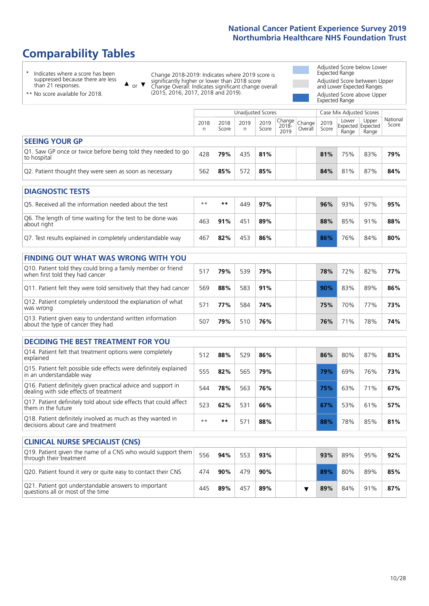# **Comparability Tables**

\* Indicates where a score has been suppressed because there are less than 21 responses.

\*\* No score available for 2018.

 $\triangle$  or  $\nabla$ 

Change 2018-2019: Indicates where 2019 score is significantly higher or lower than 2018 score Change Overall: Indicates significant change overall (2015, 2016, 2017, 2018 and 2019).

Adjusted Score below Lower Expected Range Adjusted Score between Upper and Lower Expected Ranges Adjusted Score above Upper Expected Range

|                                                                             | Unadjusted Scores |               |            |               |                                              |         |               | Case Mix Adjusted Scores |                                            |                   |  |
|-----------------------------------------------------------------------------|-------------------|---------------|------------|---------------|----------------------------------------------|---------|---------------|--------------------------|--------------------------------------------|-------------------|--|
|                                                                             | 2018<br>n         | 2018<br>Score | 2019<br>n. | 2019<br>Score | $\cdot$   Change   Change  <br>2018-<br>2019 | Overall | 2019<br>Score | Lower<br>Range           | Upper<br><b>Expected Expected</b><br>Range | National<br>Score |  |
| <b>SEEING YOUR GP</b>                                                       |                   |               |            |               |                                              |         |               |                          |                                            |                   |  |
| Q1. Saw GP once or twice before being told they needed to go<br>to hospital | 428               | 79%           | 435        | 81%           |                                              |         | 81%           | 75%                      | 83%                                        | 79%               |  |
| Q2. Patient thought they were seen as soon as necessary                     | 562               | 85%           | 572        | 85%           |                                              |         | 84%           | 81%                      | 87%                                        | 84%               |  |
| <b>DIAGNOSTIC TESTS</b>                                                     |                   |               |            |               |                                              |         |               |                          |                                            |                   |  |

| O5. Received all the information needed about the test                    | $**$ | **  | 449 | 97% |  |  | 96% | 93% | 97% | 95% |
|---------------------------------------------------------------------------|------|-----|-----|-----|--|--|-----|-----|-----|-----|
| Q6. The length of time waiting for the test to be done was<br>about right | 463  | 91% | 451 | 89% |  |  | 88% | 85% | 91% | 88% |
| Q7. Test results explained in completely understandable way               | 467  | 82% | 453 | 86% |  |  | 86% | 76% | 84% | 80% |

| <b>FINDING OUT WHAT WAS WRONG WITH YOU</b>                                                      |     |     |     |     |     |     |     |     |
|-------------------------------------------------------------------------------------------------|-----|-----|-----|-----|-----|-----|-----|-----|
| Q10. Patient told they could bring a family member or friend<br>when first told they had cancer | 517 | 79% | 539 | 79% | 78% | 72% | 82% | 77% |
| Q11. Patient felt they were told sensitively that they had cancer                               | 569 | 88% | 583 | 91% | 90% | 83% | 89% | 86% |
| Q12. Patient completely understood the explanation of what<br>was wrong                         | 571 | 77% | 584 | 74% | 75% | 70% | 77% | 73% |
| Q13. Patient given easy to understand written information<br>about the type of cancer they had  | 507 | 79% | 510 | 76% | 76% | 71% | 78% | 74% |

| <b>DECIDING THE BEST TREATMENT FOR YOU</b>                                                              |      |     |     |     |     |     |     |     |
|---------------------------------------------------------------------------------------------------------|------|-----|-----|-----|-----|-----|-----|-----|
| Q14. Patient felt that treatment options were completely<br>explained                                   | 512  | 88% | 529 | 86% | 86% | 80% | 87% | 83% |
| Q15. Patient felt possible side effects were definitely explained<br>in an understandable way           | 555  | 82% | 565 | 79% | 79% | 69% | 76% | 73% |
| Q16. Patient definitely given practical advice and support in<br>dealing with side effects of treatment | 544  | 78% | 563 | 76% | 75% | 63% | 71% | 67% |
| Q17. Patient definitely told about side effects that could affect<br>them in the future                 | 523  | 62% | 531 | 66% | 67% | 53% | 61% | 57% |
| Q18. Patient definitely involved as much as they wanted in<br>decisions about care and treatment        | $**$ | **  | 57  | 88% | 88% | 78% | 85% | 81% |

| <b>CLINICAL NURSE SPECIALIST (CNS)</b>                                                    |     |     |     |        |  |     |     |     |     |
|-------------------------------------------------------------------------------------------|-----|-----|-----|--------|--|-----|-----|-----|-----|
| Q19. Patient given the name of a CNS who would support them<br>through their treatment    | 556 | 94% | 553 | 93%    |  | 93% | 89% | 95% | 92% |
| Q20. Patient found it very or quite easy to contact their CNS                             | 474 | 90% | 479 | $90\%$ |  | 89% | 80% | 89% | 85% |
| Q21. Patient got understandable answers to important<br>questions all or most of the time | 445 | 89% | 457 | 89%    |  | 89% | 84% | 91% | 87% |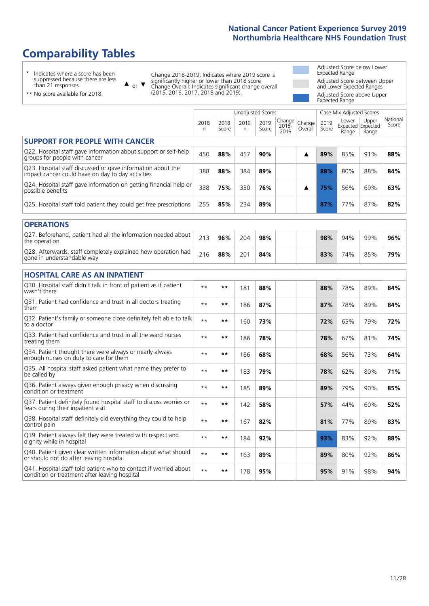# **Comparability Tables**

\* Indicates where a score has been suppressed because there are less than 21 responses.

\*\* No score available for 2018.

 $\triangle$  or  $\nabla$ 

Change 2018-2019: Indicates where 2019 score is significantly higher or lower than 2018 score Change Overall: Indicates significant change overall (2015, 2016, 2017, 2018 and 2019).

Adjusted Score below Lower Expected Range Adjusted Score between Upper and Lower Expected Ranges Adjusted Score above Upper Expected Range

|                                                                                                                   |              |               | <b>Unadjusted Scores</b> |               |                            |                   |               | Case Mix Adjusted Scores            |                |                   |
|-------------------------------------------------------------------------------------------------------------------|--------------|---------------|--------------------------|---------------|----------------------------|-------------------|---------------|-------------------------------------|----------------|-------------------|
|                                                                                                                   | 2018<br>n    | 2018<br>Score | 2019<br>n                | 2019<br>Score | Change<br>$2018 -$<br>2019 | Change<br>Overall | 2019<br>Score | Lower<br>Expected Expected<br>Range | Upper<br>Range | National<br>Score |
| <b>SUPPORT FOR PEOPLE WITH CANCER</b>                                                                             |              |               |                          |               |                            |                   |               |                                     |                |                   |
| Q22. Hospital staff gave information about support or self-help<br>groups for people with cancer                  | 450          | 88%           | 457                      | 90%           |                            | ▲                 | 89%           | 85%                                 | 91%            | 88%               |
| Q23. Hospital staff discussed or gave information about the<br>impact cancer could have on day to day activities  | 388          | 88%           | 384                      | 89%           |                            |                   | 88%           | 80%                                 | 88%            | 84%               |
| Q24. Hospital staff gave information on getting financial help or<br>possible benefits                            | 338          | 75%           | 330                      | 76%           |                            | ▲                 | 75%           | 56%                                 | 69%            | 63%               |
| Q25. Hospital staff told patient they could get free prescriptions                                                | 255          | 85%           | 234                      | 89%           |                            |                   | 87%           | 77%                                 | 87%            | 82%               |
| <b>OPERATIONS</b>                                                                                                 |              |               |                          |               |                            |                   |               |                                     |                |                   |
| Q27. Beforehand, patient had all the information needed about<br>the operation                                    | 213          | 96%           | 204                      | 98%           |                            |                   | 98%           | 94%                                 | 99%            | 96%               |
| Q28. Afterwards, staff completely explained how operation had<br>gone in understandable way                       | 216          | 88%           | 201                      | 84%           |                            |                   | 83%           | 74%                                 | 85%            | 79%               |
| <b>HOSPITAL CARE AS AN INPATIENT</b>                                                                              |              |               |                          |               |                            |                   |               |                                     |                |                   |
| Q30. Hospital staff didn't talk in front of patient as if patient<br>wasn't there                                 | $\star\star$ | **            | 181                      | 88%           |                            |                   | 88%           | 78%                                 | 89%            | 84%               |
| Q31. Patient had confidence and trust in all doctors treating<br>them                                             | $**$         | $***$         | 186                      | 87%           |                            |                   | 87%           | 78%                                 | 89%            | 84%               |
| Q32. Patient's family or someone close definitely felt able to talk<br>to a doctor                                | $* *$        | $***$         | 160                      | 73%           |                            |                   | 72%           | 65%                                 | 79%            | 72%               |
| O33. Patient had confidence and trust in all the ward nurses<br>treating them                                     | $**$         | **            | 186                      | 78%           |                            |                   | 78%           | 67%                                 | 81%            | 74%               |
| Q34. Patient thought there were always or nearly always<br>enough nurses on duty to care for them                 | $\star\star$ | $***$         | 186                      | 68%           |                            |                   | 68%           | 56%                                 | 73%            | 64%               |
| Q35. All hospital staff asked patient what name they prefer to<br>be called by                                    | $* *$        | $***$         | 183                      | 79%           |                            |                   | 78%           | 62%                                 | 80%            | 71%               |
| Q36. Patient always given enough privacy when discussing<br>condition or treatment                                | $* *$        | $***$         | 185                      | 89%           |                            |                   | 89%           | 79%                                 | 90%            | 85%               |
| Q37. Patient definitely found hospital staff to discuss worries or<br>fears during their inpatient visit          | $* *$        | $***$         | 142                      | 58%           |                            |                   | 57%           | 44%                                 | 60%            | 52%               |
| Q38. Hospital staff definitely did everything they could to help<br>control pain                                  | $* *$        | $***$         | 167                      | 82%           |                            |                   | 81%           | 77%                                 | 89%            | 83%               |
| Q39. Patient always felt they were treated with respect and<br>dignity while in hospital                          | $***$        | $***$         | 184                      | 92%           |                            |                   | 93%           | 83%                                 | 92%            | 88%               |
| Q40. Patient given clear written information about what should<br>or should not do after leaving hospital         | $* *$        | $***$         | 163                      | 89%           |                            |                   | 89%           | 80%                                 | 92%            | 86%               |
| Q41. Hospital staff told patient who to contact if worried about<br>condition or treatment after leaving hospital | $**$         | **            | 178                      | 95%           |                            |                   | 95%           | 91%                                 | 98%            | 94%               |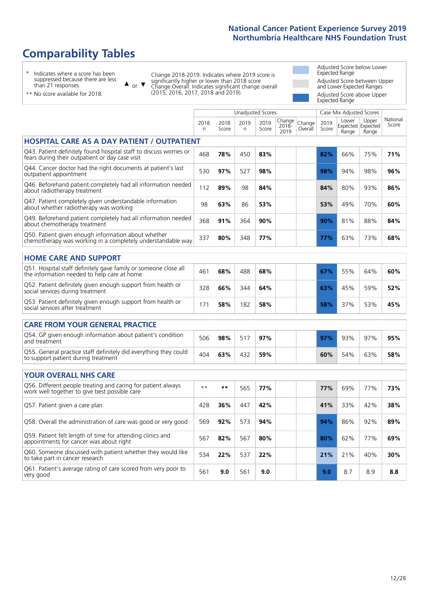# **Comparability Tables**

\* Indicates where a score has been suppressed because there are less than 21 responses.

\*\* No score available for 2018.

 $\triangle$  or  $\nabla$ 

Change 2018-2019: Indicates where 2019 score is significantly higher or lower than 2018 score Change Overall: Indicates significant change overall (2015, 2016, 2017, 2018 and 2019).

Adjusted Score below Lower Expected Range Adjusted Score between Upper and Lower Expected Ranges Adjusted Score above Upper Expected Range

|                                                                                                                       | <b>Unadjusted Scores</b> |               |            |               |                         |                   |               | Case Mix Adjusted Scores |                                     |                   |
|-----------------------------------------------------------------------------------------------------------------------|--------------------------|---------------|------------|---------------|-------------------------|-------------------|---------------|--------------------------|-------------------------------------|-------------------|
|                                                                                                                       | 2018<br>$\mathsf{n}$     | 2018<br>Score | 2019<br>n. | 2019<br>Score | Change<br>2018-<br>2019 | Change<br>Overall | 2019<br>Score | Lower<br>Range           | Upper<br>Expected Expected<br>Range | National<br>Score |
| <b>HOSPITAL CARE AS A DAY PATIENT / OUTPATIENT</b>                                                                    |                          |               |            |               |                         |                   |               |                          |                                     |                   |
| Q43. Patient definitely found hospital staff to discuss worries or<br>fears during their outpatient or day case visit | 468                      | 78%           | 450        | 83%           |                         |                   | 82%           | 66%                      | 75%                                 | 71%               |
| Q44. Cancer doctor had the right documents at patient's last<br>outpatient appointment                                | 530                      | 97%           | 527        | 98%           |                         |                   | 98%           | 94%                      | 98%                                 | 96%               |
| Q46. Beforehand patient completely had all information needed<br>about radiotherapy treatment                         | 112                      | 89%           | 98         | 84%           |                         |                   | 84%           | 80%                      | 93%                                 | 86%               |
| Q47. Patient completely given understandable information<br>about whether radiotherapy was working                    | 98                       | 63%           | 86         | 53%           |                         |                   | 53%           | 49%                      | 70%                                 | 60%               |
| Q49. Beforehand patient completely had all information needed<br>about chemotherapy treatment                         | 368                      | 91%           | 364        | 90%           |                         |                   | 90%           | 81%                      | 88%                                 | 84%               |
| Q50. Patient given enough information about whether<br>chemotherapy was working in a completely understandable way    | 337                      | 80%           | 348        | 77%           |                         |                   | 77%           | 63%                      | 73%                                 | 68%               |
| <b>HOME CARE AND SUPPORT</b>                                                                                          |                          |               |            |               |                         |                   |               |                          |                                     |                   |
| Q51. Hospital staff definitely gave family or someone close all<br>the information needed to help care at home        | 461                      | 68%           | 488        | 68%           |                         |                   | 67%           | 55%                      | 64%                                 | 60%               |
| Q52. Patient definitely given enough support from health or<br>social services during treatment                       | 328                      | 66%           | 344        | 64%           |                         |                   | 63%           | 45%                      | 59%                                 | 52%               |
| Q53. Patient definitely given enough support from health or<br>social services after treatment                        | 171                      | 58%           | 182        | 58%           |                         |                   | 58%           | 37%                      | 53%                                 | 45%               |
| CARE FROM YOUR GENERAL PRACTICE                                                                                       |                          |               |            |               |                         |                   |               |                          |                                     |                   |
| Q54. GP given enough information about patient's condition<br>and treatment                                           | 506                      | 98%           | 517        | 97%           |                         |                   | 97%           | 93%                      | 97%                                 | 95%               |
| Q55. General practice staff definitely did everything they could<br>to support patient during treatment               | 404                      | 63%           | 432        | 59%           |                         |                   | 60%           | 54%                      | 63%                                 | 58%               |
| <b>YOUR OVERALL NHS CARE</b>                                                                                          |                          |               |            |               |                         |                   |               |                          |                                     |                   |
| Q56. Different people treating and caring for patient always                                                          |                          |               |            |               |                         |                   |               |                          |                                     |                   |
| work well together to give best possible care                                                                         | $* *$                    | **            | 565        | 77%           |                         |                   | 77%           | 69%                      | 77%                                 | 73%               |
| Q57. Patient given a care plan                                                                                        | 428                      | 36%           | 447        | 42%           |                         |                   | 41%           | 33%                      | 42%                                 | 38%               |
| Q58. Overall the administration of care was good or very good                                                         | 569                      | 92%           | 573        | 94%           |                         |                   | 94%           | 86%                      | 92%                                 | 89%               |
| Q59. Patient felt length of time for attending clinics and<br>appointments for cancer was about right                 | 567                      | 82%           | 567        | 80%           |                         |                   | 80%           | 62%                      | 77%                                 | 69%               |
| Q60. Someone discussed with patient whether they would like<br>to take part in cancer research                        | 534                      | 22%           | 537        | 22%           |                         |                   | 21%           | 21%                      | 40%                                 | 30%               |
| Q61. Patient's average rating of care scored from very poor to<br>very good                                           | 561                      | 9.0           | 561        | 9.0           |                         |                   | 9.0           | 8.7                      | 8.9                                 | 8.8               |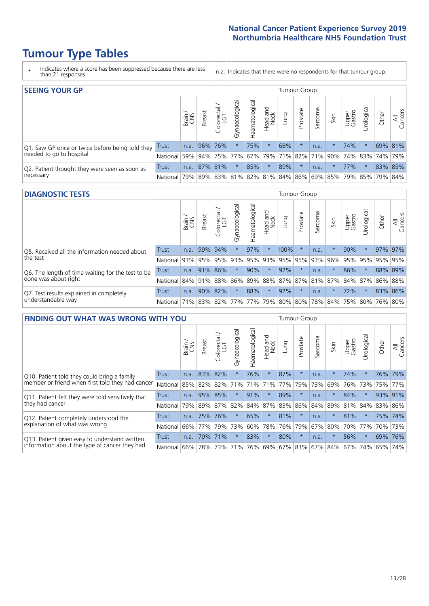# **Tumour Type Tables**

- \* Indicates where a score has been suppressed because there are less than 21 responses.
- n.a. Indicates that there were no respondents for that tumour group.

| <b>SEEING YOUR GP</b>                           |          |       |               |             |                    |                |                  |      | Tumour Group            |         |      |                 |                                                           |         |                |
|-------------------------------------------------|----------|-------|---------------|-------------|--------------------|----------------|------------------|------|-------------------------|---------|------|-----------------|-----------------------------------------------------------|---------|----------------|
|                                                 |          | Brain | <b>Breast</b> | Colorectal  | ᠊ᢛ<br>Gynaecologic | Haematological | Head and<br>Neck | Lung | Prostate                | Sarcoma | Skin | Upper<br>Gastro | $\sigma$<br>Irologica                                     | Other   | All<br>Cancers |
| Q1. Saw GP once or twice before being told they | Trust    | n.a.  |               | 96% 76%     |                    | 75%            | $\star$          | 68%  |                         | n.a.    |      | 74%             |                                                           | 69% 81% |                |
| needed to go to hospital                        | National | 59%   |               | 94% 75% 77% |                    |                |                  |      | 67% 79% 71% 82% 71% 90% |         |      |                 | 74% 83% 74% 79%                                           |         |                |
| Q2. Patient thought they were seen as soon as   | Trust    | n.a.  |               | 87% 81%     | $\star$            | 85%            | $\star$          | 89%  | $\star$                 | n.a.    |      | 77%             | $\star$                                                   | 83% 85% |                |
| necessary                                       | National | 79%   |               | 89% 83%     |                    |                |                  |      |                         |         |      |                 | 81%   82%   81%   84%   86%   69%   85%   79%   85%   79% |         | 84%            |

#### **DIAGNOSTIC TESTS** Tumour Group

|                                                   |                 | Brain | <b>Breast</b> | Colorectal<br>LGT           | ᅙ<br>Gynaecologic | Haematological | Head and<br>Neck | Lung        | Prostate | Sarcoma | Skin | Upper<br>Gastro | rological                                   | Other | All<br>Cancers |
|---------------------------------------------------|-----------------|-------|---------------|-----------------------------|-------------------|----------------|------------------|-------------|----------|---------|------|-----------------|---------------------------------------------|-------|----------------|
| Q5. Received all the information needed about     | <b>Trust</b>    | n.a.  |               | 99% 94%                     |                   | 97%            | $\star$          | 100%        |          | n.a.    |      | 90%             | $\star$                                     |       | 97% 97%        |
| $\vert$ the test                                  | National        | 93%   |               | 95% 95%                     | 93%               | 95%            |                  | 93% 95% 95% |          | 93%     | 96%  |                 | 95% 95%                                     |       | 95% 95%        |
| Q6. The length of time waiting for the test to be | Trust           | n.a.  | 91%           | 86%                         | $\star$           | 90%            | $\star$          | 92%         | $\star$  | n.a.    |      | 86%             | $\star$                                     |       | 88% 89%        |
| done was about right                              | <b>National</b> |       |               | 84% 91% 88%                 |                   |                |                  |             |          |         |      |                 | 86% 89% 88% 87% 87% 81% 87% 84% 87% 86% 88% |       |                |
| Q7. Test results explained in completely          | Trust           | n.a.  |               | 90% 82%                     | $\star$           | 88%            | $\star$          | 92%         | $\star$  | n.a.    |      | 72%             | $\star$                                     |       | 83% 86%        |
| understandable way                                | National 71%    |       |               | 83% 82% 77% 77% 79% 80% 80% |                   |                |                  |             |          |         |      |                 | 78% 84% 75% 80% 76% 80%                     |       |                |

| <b>FINDING OUT WHAT WAS WRONG WITH YOU</b>        |              |       |               |                                  |                |                |                        |      | Tumour Group |         |         |                 |            |       |                |
|---------------------------------------------------|--------------|-------|---------------|----------------------------------|----------------|----------------|------------------------|------|--------------|---------|---------|-----------------|------------|-------|----------------|
|                                                   |              | Brain | <b>Breast</b> | ╮<br>olorectal.<br>LGT<br>$\cup$ | Gynaecological | Haematological | ad and<br>Neck<br>Head | Lung | Prostate     | Sarcoma | Skin    | Upper<br>Gastro | Jrological | Other | All<br>Cancers |
| Q10. Patient told they could bring a family       | <b>Trust</b> | n.a.  | 83%           | 82%                              | $\star$        | 76%            | $\star$                | 87%  | $\star$      | n.a.    | $\star$ | 74%             | $\star$    | 76%   | 79%            |
| member or friend when first told they had cancer  | National     | 85%   | 82%           | 82%                              | 71%            | 71%            | 71%                    | 77%  | 79%          | 73%     | 69%     | 76%             | 73%        | 75%   | 77%            |
| Q11. Patient felt they were told sensitively that | Trust        | n.a.  | 95%           | 85%                              | $\star$        | 91%            | $\star$                | 89%  | $\star$      | n.a.    | $\star$ | 84%             | $\star$    | 93%   | 91%            |
| they had cancer                                   | National     | 79%   |               | 89% 87%                          | 82%            |                | 84% 87%                | 83%  | 86%          | 84%     | 89%     |                 | 81% 84%    |       | 83% 86%        |
| Q12. Patient completely understood the            | Trust        | n.a.  | 75%           | 76%                              | $\star$        | 65%            | $\star$                | 81%  | $\star$      | n.a.    |         | 81%             | $\star$    | 75%   | 74%            |
| explanation of what was wrong                     | National     | 66%   | 77%           | 79%                              | 73%            | 60%            | 78%                    | 76%  | 79%          | 67%     | 80%     | 70%             | 77%        | 70%   | 73%            |
| Q13. Patient given easy to understand written     | Trust        | n.a.  | 79%           | 171%                             | $\star$        | 83%            | $\star$                | 80%  | $\star$      | n.a.    | $\star$ | 56%             | $\star$    | 69%   | 76%            |
| information about the type of cancer they had     | National     | 66%   | 78%           | 73%                              | 71%            |                | 76% 69% 67% 83%        |      |              |         | 67% 84% | 67%             | 74%        | 65%   | 74%            |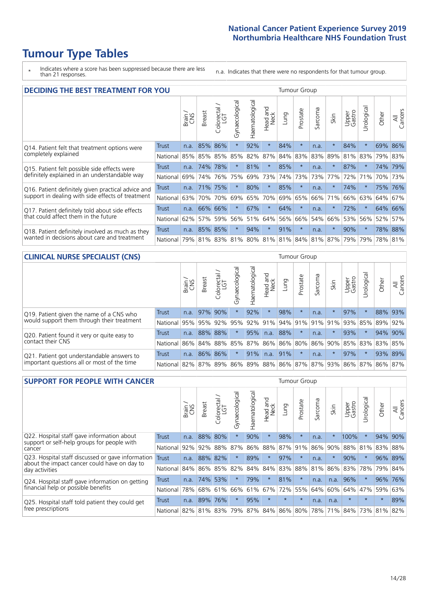# **Tumour Type Tables**

\* Indicates where a score has been suppressed because there are less than 21 responses.

n.a. Indicates that there were no respondents for that tumour group.

| <b>DECIDING THE BEST TREATMENT FOR YOU</b>         |          |       |               |                        |                |                |                         |      | <b>Tumour Group</b> |                                     |         |                 |            |       |                |
|----------------------------------------------------|----------|-------|---------------|------------------------|----------------|----------------|-------------------------|------|---------------------|-------------------------------------|---------|-----------------|------------|-------|----------------|
|                                                    |          | Brain | <b>Breast</b> | olorectal.<br>LGT<br>Ũ | Gynaecological | Haematological | ead and<br>Neck<br>Head | Lung | Prostate            | arcoma<br>vĀ                        | Skin    | Upper<br>Gastro | Jrological | Other | All<br>Cancers |
| Q14. Patient felt that treatment options were      | Trust    | n.a.  | 85%           | 86%                    | $\star$        | 92%            | $\star$                 | 84%  | $\star$             | n.a.                                | $\star$ | 84%             | $\star$    | 69%   | 86%            |
| completely explained                               | National | 85%   | 85%           | 85%                    | 85%            | 82%            | 87%                     | 84%  | 83%                 | 83%                                 | 89%     | 81%             | 83%        | 79%   | 83%            |
| Q15. Patient felt possible side effects were       | Trust    | n.a.  | 74%           | 78%                    | $\star$        | 81%            | $\star$                 | 85%  | $\star$             | n.a.                                | $\ast$  | 87%             | $^\star$   | 74%   | 79%            |
| definitely explained in an understandable way      | National | 69%   | 74%           | 76%                    | 75%            | 69%            | 73%                     | 74%  | 73%                 | 73%                                 | 77%     | 72%             | 71%        | 70%   | 73%            |
| Q16. Patient definitely given practical advice and | Trust    | n.a.  | 71%           | 75%                    | $\star$        | 80%            | $\star$                 | 85%  | $\star$             | n.a.                                | $\star$ | 74%             |            | 75%   | 76%            |
| support in dealing with side effects of treatment  | National | 63%   | 70%           | 70%                    | 69%            | 65%            | 70%                     | 69%  | 65%                 | 66%                                 | 71%     | 66%             | 63%        | 64%   | 67%            |
| Q17. Patient definitely told about side effects    | Trust    | n.a.  | 66%           | 66%                    | $\star$        | 67%            | $\star$                 | 64%  | $\star$             | n.a.                                |         | 72%             | $^\star$   | 64%   | 66%            |
| that could affect them in the future               | National | 62%   | 57%           | 59%                    | 56%            | 51%            | 64%                     | 56%  | 66%                 | 54%                                 | 66%     | 53%             | 56%        | 52%   | 57%            |
| Q18. Patient definitely involved as much as they   | Trust    | n.a.  | 85%           | 85%                    | $\star$        | 94%            | $\star$                 | 91%  | $\star$             | n.a.                                | $\star$ | 90%             | $^\star$   | 78%   | 88%            |
| wanted in decisions about care and treatment       | National | 79%   |               |                        |                |                |                         |      |                     | 81% 83% 81% 80% 81% 81% 84% 81% 87% |         | 79%             | 79%        |       | 78% 81%        |

#### **CLINICAL NURSE SPECIALIST (CNS)** Tumour Group

|                                             |              | Brain | <b>Breast</b> | olorectal<br>LGT<br>Ü | $\overline{\sigma}$<br>aecologic<br>$\tilde{\xi}$ | Haematological | Head and<br>Neck | Lung | Prostate            | Sarcoma | Skin | Upper<br>Gastro | Jrological      | Other | All<br>Cancers |
|---------------------------------------------|--------------|-------|---------------|-----------------------|---------------------------------------------------|----------------|------------------|------|---------------------|---------|------|-----------------|-----------------|-------|----------------|
| Q19. Patient given the name of a CNS who    | <b>Trust</b> | n.a.  | 97%           | 90%                   |                                                   | 92%            | $\star$          | 98%  | $\star$             | n.a.    |      | 97%             | $^\star$        |       | 88% 93%        |
| would support them through their treatment  | National     | 95%   | 95%           | 92%                   | 95%                                               |                |                  |      | 92% 91% 94% 91%     | 91%     | 91%  |                 | 93% 85%         | 89%   | 92%            |
| Q20. Patient found it very or quite easy to | Trust        | n.a.  |               | 88% 88%               |                                                   | 95%            | n.a.             | 88%  | $\star$             | n.a.    |      | 93%             | $\star$         |       | 94% 90%        |
| contact their CNS                           | National     | 86%   | 84%           | 88%                   | 85%                                               |                |                  |      | 87% 86% 86% 80%     | 86%     | 90%  | 85%             | 83% 83% 85%     |       |                |
| Q21. Patient got understandable answers to  | Trust        | n.a.  | 86%           | 86%                   | $\star$                                           | 91%            | n.a.             | 91%  | $\star$             | n.a.    |      | 97%             | $^\star$        | 93%   | 89%            |
| important questions all or most of the time | National     | 82%   | 87%           | 89%                   | 86%                                               |                |                  |      | 89% 88% 86% 87% 87% |         | 93%  |                 | 86% 87% 86% 87% |       |                |

| <b>SUPPORT FOR PEOPLE WITH CANCER</b>                                                             |          |       |               |                            |                |                |                        |             | <b>Tumour Group</b>             |              |         |                 |            |             |                |
|---------------------------------------------------------------------------------------------------|----------|-------|---------------|----------------------------|----------------|----------------|------------------------|-------------|---------------------------------|--------------|---------|-----------------|------------|-------------|----------------|
|                                                                                                   |          | Brain | <b>Breast</b> | olorectal<br>LGT<br>$\cup$ | Gynaecological | Haematological | ad and<br>Neck<br>Head | <b>Dung</b> | Prostate                        | arcoma<br>ιñ | Skin    | Upper<br>Gastro | Urological | Other       | All<br>Cancers |
| Q22. Hospital staff gave information about<br>support or self-help groups for people with         | Trust    | n.a.  | 88%           | 80%                        | $\star$        | 90%            | $\star$                | 98%         | $\star$                         | n.a.         |         | 100%            | $^\star$   | 94%         | 90%            |
| cancer                                                                                            | National | 92%   | 92%           | 88%                        | 87%            | 86%            | 88%                    |             | 87% 91%                         | 86%          | 90%     | 88%             | 81%        | 83% 88%     |                |
| Q23. Hospital staff discussed or gave information<br>about the impact cancer could have on day to | Trust    | n.a.  | 88%           | 82%                        | $\star$        | 89%            | $\star$                | 97%         | $\star$                         | n.a.         | $\star$ | 90%             | $\star$    | 96%         | 89%            |
| day activities                                                                                    | National | 84%   |               | 86% 85%                    | 82%            | 84%            | 84%                    | 83%         | 88%                             | 81%          | 86%     | 83%             | 78%        | 79%         | 84%            |
| Q24. Hospital staff gave information on getting                                                   | Trust    | n.a.  | 74%           | 53%                        | $\star$        | 79%            | $\star$                | 81%         | $\star$                         | n.a.         | n.a.    | 96%             | $^\star$   | 96%         | 76%            |
| financial help or possible benefits                                                               | National | 78%   |               | 68% 61%                    | 66%            |                | 61% 67%                |             | 72% 55%                         | 64%          | 60%     | 64%             | 47%        | 59%         | 63%            |
| Q25. Hospital staff told patient they could get                                                   | Trust    | n.a.  | 89%           | 76%                        | $\star$        | 95%            | $\star$                | $\star$     | $\star$                         | n.a.         | n.a.    | $\star$         | $\star$    | $\star$     | 89%            |
| free prescriptions                                                                                | National |       |               |                            |                |                |                        |             | 82% 81% 83% 79% 87% 84% 86% 80% |              |         | 78% 71% 84%     |            | 73% 81% 82% |                |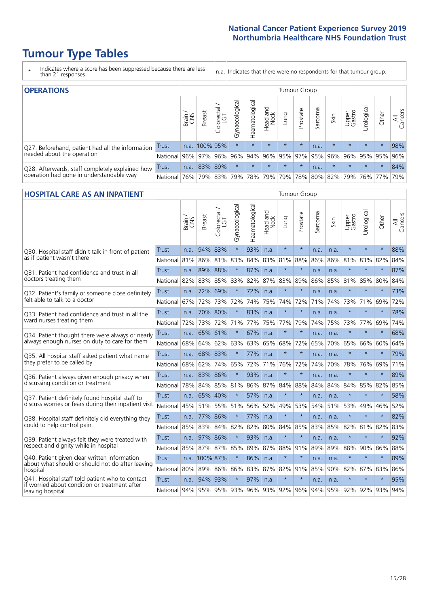# **Tumour Type Tables**

- \* Indicates where a score has been suppressed because there are less than 21 responses.
- n.a. Indicates that there were no respondents for that tumour group.

| <b>OPERATIONS</b>                                |              |       |               |                        |                                     |                |                             |         | Tumour Group |         |                     |                 |             |           |                |
|--------------------------------------------------|--------------|-------|---------------|------------------------|-------------------------------------|----------------|-----------------------------|---------|--------------|---------|---------------------|-----------------|-------------|-----------|----------------|
|                                                  |              | Brain | <b>Breast</b> | iolorectal<br>LGT<br>Ü | $\overline{\sigma}$<br>Gynaecologic | Haematological | Head and<br>Neck            | Lung    | Prostate     | Sarcoma | Skin                | Upper<br>Gastro | Jrological  | Other     | All<br>Cancers |
| Q27. Beforehand, patient had all the information | <b>Trust</b> | n.a.  | 100% 95%      |                        | $\star$                             | $\star$        | $\star$                     | $\star$ | $\star$      | n.a.    | $\star$             | $\star$         | $\star$     | $\star$   | 98%            |
| needed about the operation                       | National     | 96%   |               | 97% 96%                |                                     |                | 96% 94% 96% 95% 97% 95% 96% |         |              |         |                     |                 | 96% 95% 95% |           | 96%            |
| Q28. Afterwards, staff completely explained how  | Trust        | n.a.  | 83% 89%       |                        | $\star$                             |                | $\star$                     | $\star$ | $\star$      | n.a.    | $\star$             | $\star$         | $\star$     | $\star$   | 84%            |
| operation had gone in understandable way         | National     | 76%   |               | 79% 83%                |                                     |                | 79%   78%   79%             |         |              |         | 79% 78% 80% 82% 79% |                 |             | 76%   77% | 79%            |

#### **HOSPITAL CARE AS AN INPATIENT** Tumour Group

|                                                                                                  |              | Brain | <b>Breast</b>   | Colorectal /<br>LGT | Gynaecological | Haematological  | Head and<br>Neck | Lung    | Prostate | Sarcoma | Skin | Upper<br>Gastro | Urological  | Other   | Cancers<br>$\equiv$ |
|--------------------------------------------------------------------------------------------------|--------------|-------|-----------------|---------------------|----------------|-----------------|------------------|---------|----------|---------|------|-----------------|-------------|---------|---------------------|
| Q30. Hospital staff didn't talk in front of patient                                              | Trust        | n.a.  | 94%             | 83%                 | $\star$        | 93%             | n.a.             | $\star$ | $\star$  | n.a.    | n.a. | $\star$         | $\star$     | $\star$ | 88%                 |
| as if patient wasn't there                                                                       | National     | 81%   | 86%             | 81%                 | 83%            | 84%             | 83%              | 81%     | 88%      | 86%     | 86%  | 81%             | 83%         | 82%     | 84%                 |
| Q31. Patient had confidence and trust in all<br>doctors treating them                            | <b>Trust</b> | n.a.  | 89% 88%         |                     |                | 87%             | n.a.             | $\star$ | $\star$  | n.a.    | n.a. | $\star$         | $\star$     | $\star$ | 87%                 |
|                                                                                                  | National     | 82%   | 83%             | 85%                 | 83%            | 82%             |                  | 87% 83% | 89%      | 86%     | 85%  | 81%             | 85%         | 80%     | 84%                 |
| Q32. Patient's family or someone close definitely<br>felt able to talk to a doctor               | <b>Trust</b> | n.a.  | 72%             | 69%                 |                | 72%             | n.a.             | $\star$ | $\star$  | n.a.    | n.a. |                 | $\star$     | $\star$ | 73%                 |
|                                                                                                  | National     | 67%   | 72%             | 73%                 | 72%            | 74%             | 75%              | 74%     | 72%      | 71%     | 74%  | 73%             | 71%         | 69%     | 72%                 |
| Q33. Patient had confidence and trust in all the<br>ward nurses treating them                    | <b>Trust</b> | n.a.  | 70%             | 80%                 |                | 83%             | n.a.             | $\star$ | $\star$  | n.a.    | n.a. | $\star$         | $\star$     | $\star$ | 78%                 |
|                                                                                                  | National     | 72%   | 73%             | 72%                 | 71%            | 77%             |                  | 75% 77% | 79%      | 74%     | 75%  |                 | 73% 77%     | 69%     | 74%                 |
| Q34. Patient thought there were always or nearly                                                 | <b>Trust</b> | n.a.  | 65% 61%         |                     | $\star$        | 67%             | n.a.             | $\star$ | $\star$  | n.a.    | n.a. | $\star$         | $\star$     | $\star$ | 68%                 |
| always enough nurses on duty to care for them                                                    | National     | 68%   | 64%             | 62%                 | 63%            | 63%             |                  | 65% 68% | 72%      | 65%     | 70%  | 65%             | 66%         | 60%     | 64%                 |
| Q35. All hospital staff asked patient what name<br>they prefer to be called by                   | <b>Trust</b> | n.a.  | 68% 83%         |                     |                | 77%             | n.a.             | $\star$ | $\star$  | n.a.    | n.a. |                 | $\star$     | $\star$ | 79%                 |
|                                                                                                  | National     | 68%   | 62%             | 74%                 | 65%            | 72%             | 71%              | 76%     | 72%      | 74%     | 70%  | 78%             | 76%         | 69%     | 71%                 |
| Q36. Patient always given enough privacy when                                                    | <b>Trust</b> | n.a.  | 83%             | 86%                 |                | 93%             | n.a.             | $\star$ | $\star$  | n.a.    | n.a. |                 | $\star$     | $\star$ | 89%                 |
| discussing condition or treatment                                                                | National     | 78%   | 84% 85%         |                     | 81%            |                 | 86% 87% 84%      |         | 88%      | 84%     | 84%  | 84%             | 85%         | 82%     | 85%                 |
| Q37. Patient definitely found hospital staff to                                                  | <b>Trust</b> | n.a.  | 65%             | 40%                 |                | 57%             | n.a.             | $\star$ | $\star$  | n.a.    | n.a. | $\star$         | $\star$     | $\star$ | 58%                 |
| discuss worries or fears during their inpatient visit                                            | National     | 45%   |                 | 51% 55%             | 51%            | 56%             | 52%              | 49%     | 53%      | 54%     | 51%  | 53%             | 49%         | 46%     | 52%                 |
| Q38. Hospital staff definitely did everything they                                               | <b>Trust</b> |       | n.a. 77%        | 86%                 | $\star$        | 77%             | n.a.             | $\star$ | $\star$  | n.a.    | n.a. | $\star$         | $\star$     | $\star$ | 82%                 |
| could to help control pain                                                                       | National     | 85%   | 83%             | 84%                 | 82%            | 82%             | 80%              | 84%     | 85%      | 83%     | 85%  | 82%             | 81%         | 82%     | 83%                 |
| Q39. Patient always felt they were treated with                                                  | <b>Trust</b> | n.a.  | 97% 86%         |                     |                | 93%             | n.a.             | $\star$ | $\star$  | n.a.    | n.a. | $\star$         | $\star$     | $\star$ | 92%                 |
| respect and dignity while in hospital                                                            | National     | 85%   | 87%             | 87%                 | 85%            | 89%             | 87%              | 88%     | 91%      | 89%     | 89%  | 88%             | 90%         | 86%     | 88%                 |
| Q40. Patient given clear written information<br>about what should or should not do after leaving | <b>Trust</b> |       | n.a. 100% 87%   |                     |                | 86%             | n.a.             | $\star$ | $\star$  | n.a.    | n.a. |                 | $\star$     | $\star$ | 89%                 |
| hospital                                                                                         | National     | 80%   | 89% 86%         |                     | 86%            | 83%             |                  | 87% 82% | 91%      | 85%     | 90%  | 82%             | 87%         | 83%     | 86%                 |
| Q41. Hospital staff told patient who to contact<br>if worried about condition or treatment after | <b>Trust</b> | n.a.  | 94% 93%         |                     | $\star$        | 97%             | n.a.             | $\star$ | $\star$  | n.a.    | n.a. | $\star$         | $\star$     | $\star$ | 95%                 |
| leaving hospital                                                                                 | National     |       | 94% 95% 95% 93% |                     |                | 96% 93% 92% 96% |                  |         |          | 94%     |      |                 | 95% 92% 92% | 93% 94% |                     |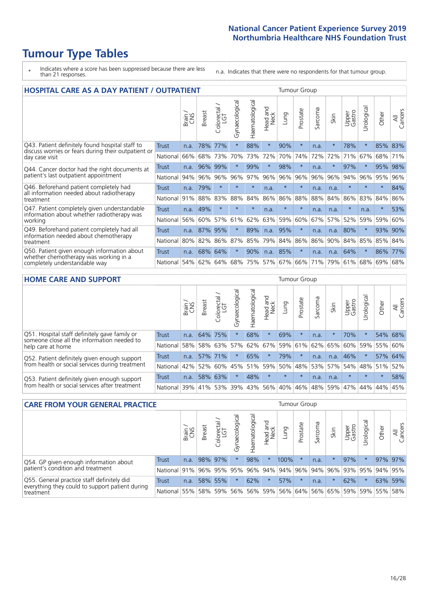# **Tumour Type Tables**

- \* Indicates where a score has been suppressed because there are less than 21 responses.
- n.a. Indicates that there were no respondents for that tumour group.

| <b>HOSPITAL CARE AS A DAY PATIENT / OUTPATIENT</b>                                                                       |              |       |               |                            |                |                |                         |         |          | <b>Tumour Group</b> |         |                 |            |         |                |  |  |
|--------------------------------------------------------------------------------------------------------------------------|--------------|-------|---------------|----------------------------|----------------|----------------|-------------------------|---------|----------|---------------------|---------|-----------------|------------|---------|----------------|--|--|
|                                                                                                                          |              | Brain | <b>Breast</b> | ╮<br>olorectal<br>LGT<br>Ũ | Gynaecological | Haematological | ead and<br>Neck<br>Head | Lung    | Prostate | Sarcoma             | Skin    | Upper<br>Gastro | Urological | Other   | All<br>Cancers |  |  |
| Q43. Patient definitely found hospital staff to<br>discuss worries or fears during their outpatient or<br>day case visit | <b>Trust</b> | n.a.  | 78%           | 77%                        | $\star$        | 88%            | $\star$                 | 90%     | $\star$  | n.a.                | $\star$ | 78%             | $\star$    | 85%     | 83%            |  |  |
|                                                                                                                          | National     | 66%   | 68%           | 73%                        | 70%            | 73%            | 72%                     | 70%     | 74%      | 72%                 | 72%     | 71%             | 67%        | 68%     | 71%            |  |  |
| Q44. Cancer doctor had the right documents at<br>patient's last outpatient appointment                                   | Trust        | n.a.  | 96%           | 99%                        | $^\star$       | 99%            | $\star$                 | 98%     | $\star$  | n.a.                | $\star$ | 97%             | $\star$    | 95%     | 98%            |  |  |
|                                                                                                                          | National     | 94%   | 96%           | 96%                        | 96%            | 97%            | 96%                     | 96%     | 96%      | 96%                 | 96%     | 94%             | 96%        | 95%     | 96%            |  |  |
| Q46. Beforehand patient completely had                                                                                   | Trust        | n.a.  | 79%           | $\star$                    |                | $\star$        | n.a.                    | $\star$ | $\star$  | n.a.                | n.a.    | $\star$         | $\star$    | $\star$ | 84%            |  |  |
| all information needed about radiotherapy<br>treatment                                                                   | National     | 91%   | 88%           | 83%                        | 88%            | 84%            | 86%                     | 86%     | 88%      | 88%                 | 84%     | 86%             | 83%        | 84%     | 86%            |  |  |
| Q47. Patient completely given understandable                                                                             | Trust        | n.a.  | 49%           | $\star$                    | $\star$        | $\star$        | n.a.                    | $\star$ | $\star$  | n.a.                | n.a.    | $\star$         | n.a.       | $\star$ | 53%            |  |  |
| information about whether radiotherapy was<br>working                                                                    | National     | 56%   | 60%           | 57%                        | 61%            | 62%            | 63%                     | 59%     | 60%      | 67%                 | 57%     | 52%             | 59%        | 59%     | 60%            |  |  |
| Q49. Beforehand patient completely had all                                                                               | <b>Trust</b> | n.a.  | 87%           | 95%                        | $\star$        | 89%            | n.a.                    | 95%     | $\star$  | n.a.                | n.a.    | 80%             | $\star$    | 93%     | 90%            |  |  |
| information needed about chemotherapy<br>treatment                                                                       | National     | 80%   | 82%           | 86%                        | 87%            | 85%            | 79%                     | 84%     | 86%      | 86%                 | 90%     | 84%             | 85%        | 85%     | 84%            |  |  |
| Q50. Patient given enough information about<br>whether chemotherapy was working in a<br>completely understandable way    | Trust        | n.a.  | 68%           | 64%                        | $^\star$       | 90%            | n.a.                    | 85%     | $\star$  | n.a.                | n.a.    | 64%             | $\star$    | 86%     | 77%            |  |  |
|                                                                                                                          | National     | 54%   | 62%           | 64%                        | 68%            | 75%            |                         | 57% 67% | 66%      | 71%                 | 79%     | 61%             | 68%        | 69%     | 68%            |  |  |

### **HOME CARE AND SUPPORT** Tumour Group

|                                                                                                                   |              | Brain | <b>Breast</b> | Colorectal<br>LGT | ᢛ<br>Gynaecologic | Haematological | ad and<br>Neck<br>Head | <b>Dung</b> | Prostate | Sarcoma | Skin    | Upper<br>Gastro | Urological  | Other   | All<br>Cancers |
|-------------------------------------------------------------------------------------------------------------------|--------------|-------|---------------|-------------------|-------------------|----------------|------------------------|-------------|----------|---------|---------|-----------------|-------------|---------|----------------|
| Q51. Hospital staff definitely gave family or<br>someone close all the information needed to<br>help care at home | <b>Trust</b> | n.a.  | 64%           | 75%               | $\star$           | 68%            | $\star$                | 69%         | $\star$  | n.a.    |         | 70%             | $\star$     | 54%     | 68%            |
|                                                                                                                   | National     | 58%   | 58%           | 63%               | 57%               | 62%            | 67%                    | 59%         | 61%      |         | 62% 65% |                 | 60% 59%     | 55%     | 60%            |
| Q52. Patient definitely given enough support<br>from health or social services during treatment                   | Trust        | n.a.  |               | 57% 71%           | $\star$           | 65%            | $\ast$                 | 79%         |          | n.a.    | n.a.    | 46%             | $\star$     | 57% 64% |                |
|                                                                                                                   | National     | 42%   | 52%           | 60%               |                   | 45% 51%        | 59%                    | 50%         | 48%      |         | 53% 57% |                 | 54% 48% 51% |         | 52%            |
| Q53. Patient definitely given enough support<br>from health or social services after treatment                    | Trust        | n.a.  | 58%           | 63%               | $\star$           | 48%            | $\star$                | $\star$     | $\star$  | n.a.    | n.a.    | $\star$         | $\star$     | $\star$ | 58%            |
|                                                                                                                   | National     | 39%   |               | 41% 53%           | 39%               | 43%            | 56%                    | 40%         | 46%      |         | 48% 59% | 47%             | 44%         | 44%     | 45%            |

| <b>CARE FROM YOUR GENERAL PRACTICE</b>                                                                     |              |       |               |                   |                | Tumour Group   |                  |                 |          |         |         |                 |                 |         |                |
|------------------------------------------------------------------------------------------------------------|--------------|-------|---------------|-------------------|----------------|----------------|------------------|-----------------|----------|---------|---------|-----------------|-----------------|---------|----------------|
|                                                                                                            |              | Brain | <b>Breast</b> | Colorectal<br>LGT | Gynaecological | Haematological | Head and<br>Neck | Lung            | Prostate | Sarcoma | Skin    | Upper<br>Gastro | Urologica       | Other   | All<br>Cancers |
| Q54. GP given enough information about<br>patient's condition and treatment                                | Trust        | n.a.  |               | 98% 97%           | $\star$        | 98%            | $\star$          | 100%            |          | n.a.    |         | 97%             | $\star$         | 97% 97% |                |
|                                                                                                            | National 91% |       |               | 96% 95%           | 95%            |                |                  | 96% 94% 94% 96% |          |         | 94% 96% |                 | 93% 95% 94% 95% |         |                |
| Q55. General practice staff definitely did<br>everything they could to support patient during<br>treatment | Trust        | n.a.  |               | 58% 55%           | $\star$        | 62%            | $\star$          | 57%             | $\star$  | n.a.    |         | 62%             | $\star$         | 63%     | 59%            |
|                                                                                                            | National     | 55%   |               | 58% 59%           | 56%            |                | 56% 59%          |                 | 56% 64%  |         | 56% 65% |                 | 59%   59%   55% |         | 58%            |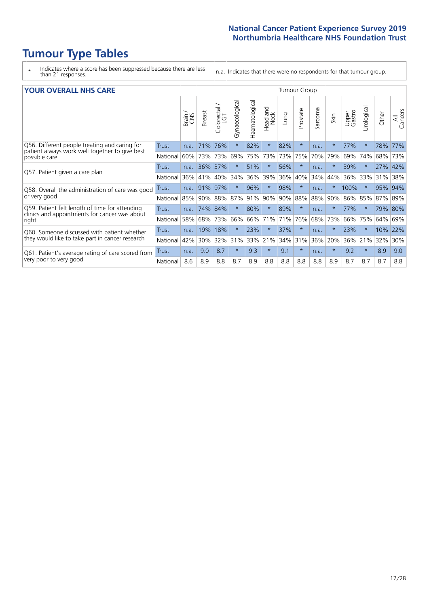# **Tumour Type Tables**

- \* Indicates where a score has been suppressed because there are less than 21 responses.
- n.a. Indicates that there were no respondents for that tumour group.

|  | <b>YOUR OVERALL NHS CARE</b> |  |  |
|--|------------------------------|--|--|
|--|------------------------------|--|--|

| YOUR OVERALL NHS CARE                                                                                            |              |       |               |            |                |                |                  |      | <b>Tumour Group</b> |              |         |                 |           |         |                |  |  |
|------------------------------------------------------------------------------------------------------------------|--------------|-------|---------------|------------|----------------|----------------|------------------|------|---------------------|--------------|---------|-----------------|-----------|---------|----------------|--|--|
|                                                                                                                  |              | Brain | <b>Breast</b> | Colorectal | Gynaecological | Haematological | Head and<br>Neck | Lung | Prostate            | arcoma<br>ιñ | Skin    | Upper<br>Gastro | Urologica | Other   | All<br>Cancers |  |  |
| Q56. Different people treating and caring for<br>patient always work well together to give best<br>possible care | <b>Trust</b> | n.a.  | 71%           | 76%        | $\star$        | 82%            | $\star$          | 82%  | $\star$             | n.a.         | $\star$ | 77%             |           | 78%     | 77%            |  |  |
|                                                                                                                  | National     | 60%   | 73%           | 73%        | 69%            | 75%            | 73%              | 73%  | 75%                 | 70%          | 79%     | 69%             | 74%       | 68%     | 73%            |  |  |
| Q57. Patient given a care plan                                                                                   | Trust        | n.a.  | $36\%$        | 37%        |                | 51%            | $^\star$         | 56%  | $\star$             | n.a.         | $\star$ | 39%             |           | 27% 42% |                |  |  |
|                                                                                                                  | National     | 36%   | 41%           | 40%        | 34%            | 36%            | 39%              | 36%  | 40%                 | 34%          | 44%     | 36%             | 33%       | 31%     | 38%            |  |  |
| Q58. Overall the administration of care was good                                                                 | Trust        | n.a.  | 91%           | 97%        |                | 96%            | $\star$          | 98%  | $\star$             | n.a.         | $\star$ | 100%            |           | 95% 94% |                |  |  |
| or very good                                                                                                     | National     | 85%   | 90%           | 88%        | 87%            | 91%            | 90%              | 90%  | 88%                 | 88%          | 90%     | 86%             | 85%       | 87%     | 89%            |  |  |
| Q59. Patient felt length of time for attending<br>clinics and appointments for cancer was about                  | Trust        | n.a.  | 74%           | 84%        |                | 80%            | $\star$          | 89%  | $\star$             | n.a.         | $\star$ | 77%             |           | 79% 80% |                |  |  |
| right                                                                                                            | National     | 58%   | 68%           | 73%        | 66%            | 66%            | 71%              | 71%  | 76%                 | 68%          | 73%     | 66%             | 75%       | 64%     | 69%            |  |  |
| Q60. Someone discussed with patient whether                                                                      | Trust        | n.a.  | 19%           | 18%        | $\star$        | 23%            | $\star$          | 37%  | $\star$             | n.a.         | $\star$ | 23%             |           | 10%     | 22%            |  |  |
| they would like to take part in cancer research                                                                  | National     | 42%   | 30%           | 32%        | 31%            | 33%            | 21%              | 34%  | 31%                 | 36%          | 20%     | 36%             | 21%       | 32%     | 30%            |  |  |
| Q61. Patient's average rating of care scored from<br>very poor to very good                                      | <b>Trust</b> | n.a.  | 9.0           | 8.7        | $\star$        | 9.3            | $\star$          | 9.1  | $\star$             | n.a.         | $\star$ | 9.2             | $^\star$  | 8.9     | 9.0            |  |  |
|                                                                                                                  | National     | 8.6   | 8.9           | 8.8        | 8.7            | 8.9            | 8.8              | 8.8  | 8.8                 | 8.8          | 8.9     | 8.7             | 8.7       | 8.7     | 8.8            |  |  |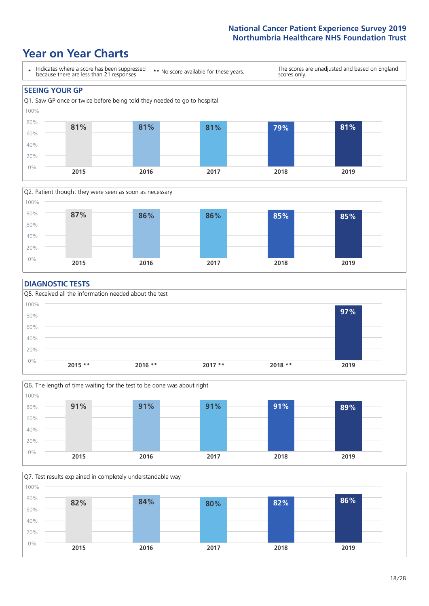### **Year on Year Charts**





### **DIAGNOSTIC TESTS**





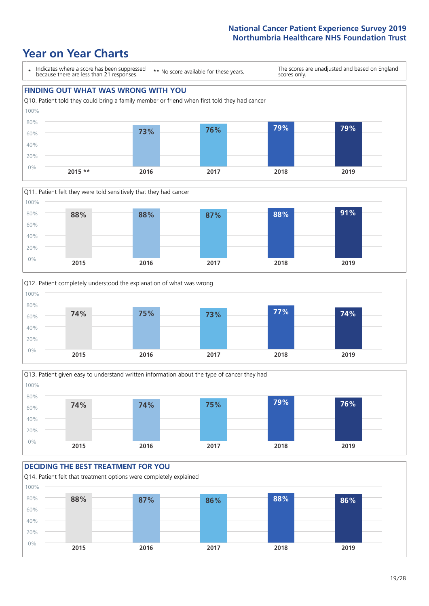







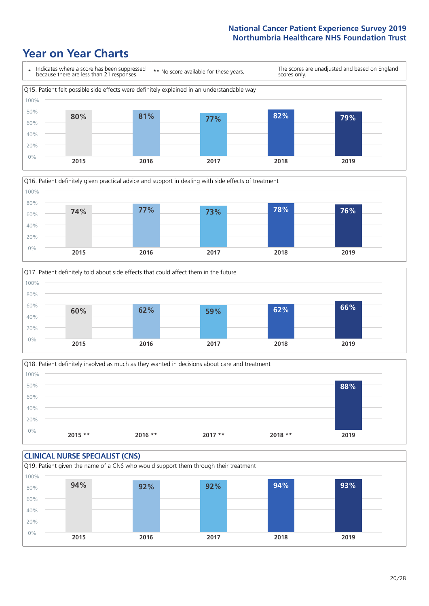





Q18. Patient definitely involved as much as they wanted in decisions about care and treatment  $0%$ 20% 40% 60% 80% 100% **2015 \*\* 2016 \*\* 2017 \*\* 2018 \*\* 2019 88%**

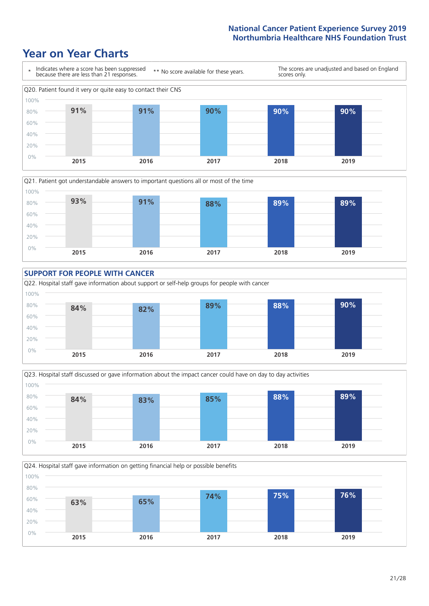









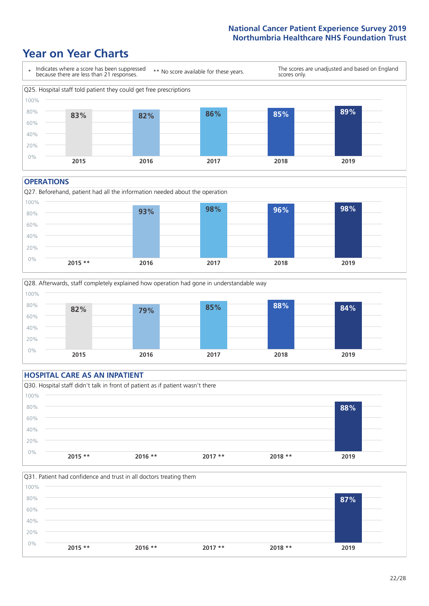### **Year on Year Charts**



#### **OPERATIONS**





### **HOSPITAL CARE AS AN INPATIENT** Q30. Hospital staff didn't talk in front of patient as if patient wasn't there 0% 20% 40% 60% 80% 100% **2015 \*\* 2016 \*\* 2017 \*\* 2018 \*\* 2019 88%**

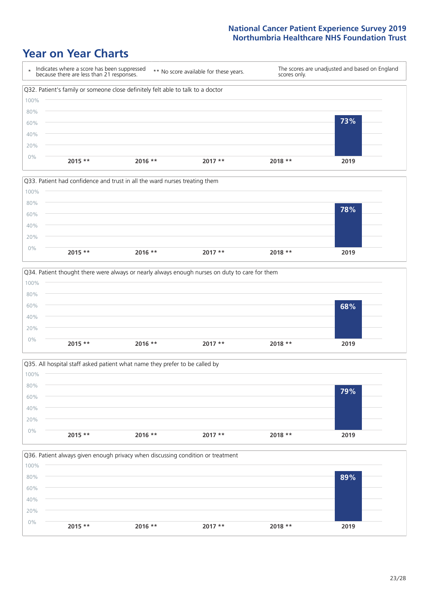







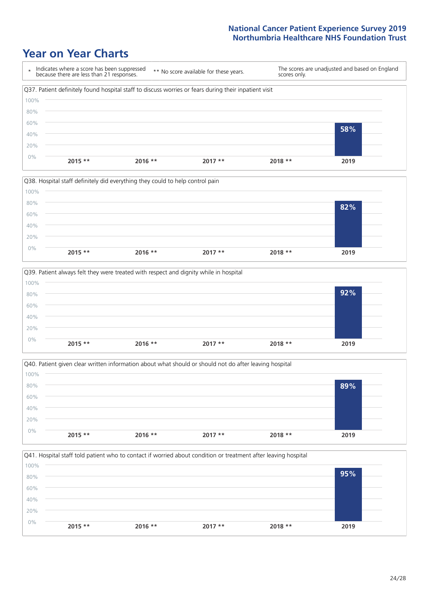







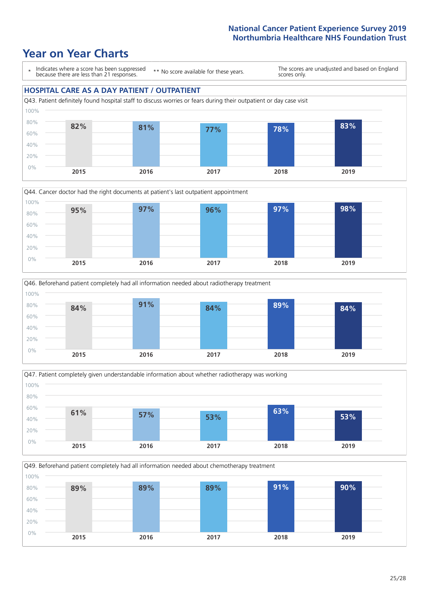







Q49. Beforehand patient completely had all information needed about chemotherapy treatment

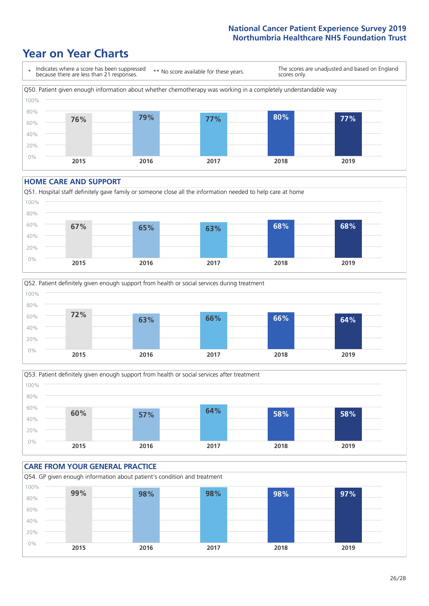### **Year on Year Charts**



#### **HOME CARE AND SUPPORT**







### **CARE FROM YOUR GENERAL PRACTICE** Q54. GP given enough information about patient's condition and treatment 0% 20% 40% 60% 80% 100% **2015 2016 2017 2018 2019 99% 98% 98% 98% 97%**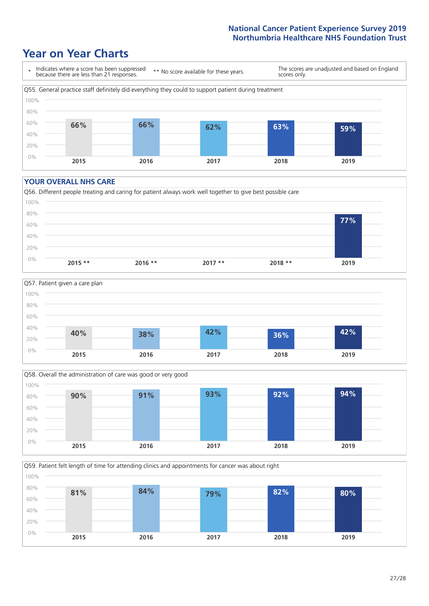### **Year on Year Charts**



#### **YOUR OVERALL NHS CARE**







Q59. Patient felt length of time for attending clinics and appointments for cancer was about right 0% 20% 40% 60% 80% 100% **2015 2016 2017 2018 2019 81% 84% 79% 82% 80%**